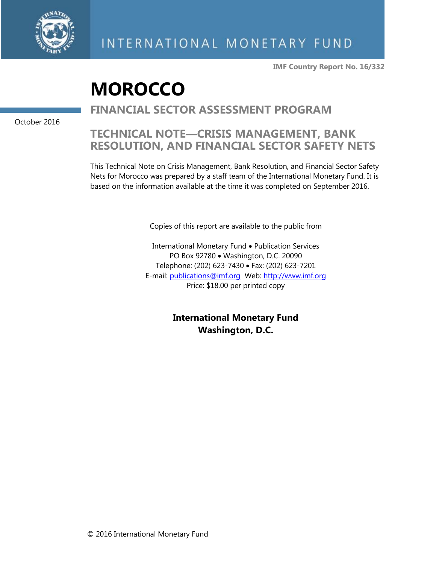

**IMF Country Report No. 16/332**

# **MOROCCO**

# **FINANCIAL SECTOR ASSESSMENT PROGRAM**

October 2016

# **TECHNICAL NOTE—CRISIS MANAGEMENT, BANK RESOLUTION, AND FINANCIAL SECTOR SAFETY NETS**

This Technical Note on Crisis Management, Bank Resolution, and Financial Sector Safety Nets for Morocco was prepared by a staff team of the International Monetary Fund. It is based on the information available at the time it was completed on September 2016.

Copies of this report are available to the public from

International Monetary Fund • Publication Services PO Box 92780 • Washington, D.C. 20090 Telephone: (202) 623-7430 Fax: (202) 623-7201 E-mail: [publications@imf.org](mailto:publications@imf.org) Web: [http://www.imf.org](http://www.imf.org/) Price: \$18.00 per printed copy

> **International Monetary Fund Washington, D.C.**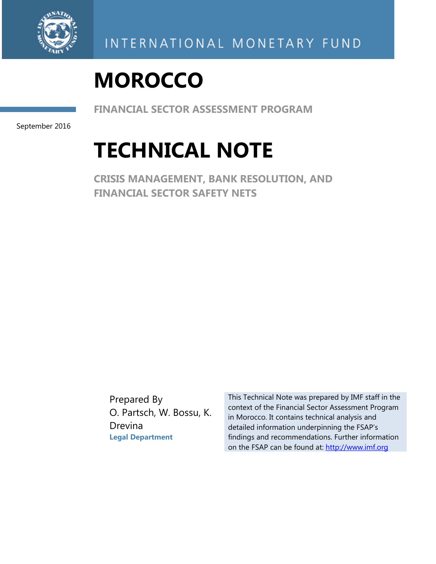

# **MOROCCO**

**FINANCIAL SECTOR ASSESSMENT PROGRAM** 

September 2016

# **TECHNICAL NOTE**

**CRISIS MANAGEMENT, BANK RESOLUTION, AND FINANCIAL SECTOR SAFETY NETS** 

Prepared By O. Partsch, W. Bossu, K. Drevina **Legal Department** 

This Technical Note was prepared by IMF staff in the context of the Financial Sector Assessment Program in Morocco. It contains technical analysis and detailed information underpinning the FSAP's findings and recommendations. Further information on the FSAP can be found at: http://www.imf.org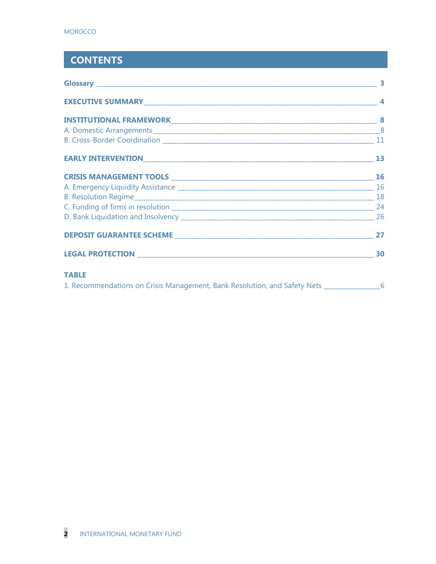# **CONTENTS**

|                                                                                             | $\overline{\phantom{a}}$ 4 |
|---------------------------------------------------------------------------------------------|----------------------------|
|                                                                                             |                            |
|                                                                                             |                            |
|                                                                                             |                            |
|                                                                                             |                            |
|                                                                                             |                            |
|                                                                                             |                            |
|                                                                                             |                            |
|                                                                                             |                            |
|                                                                                             |                            |
|                                                                                             |                            |
|                                                                                             |                            |
| <b>TABLE</b>                                                                                |                            |
| 1. Recommendations on Crisis Management, Bank Resolution, and Safety Nets ________________6 |                            |
|                                                                                             |                            |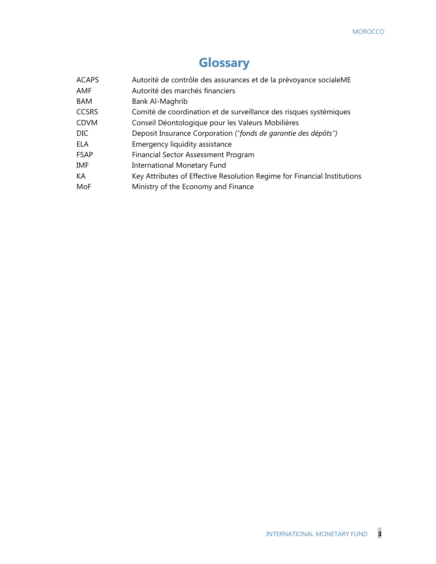# **Glossary**

| <b>ACAPS</b> | Autorité de contrôle des assurances et de la prévoyance socialeME        |
|--------------|--------------------------------------------------------------------------|
| AMF          | Autorité des marchés financiers                                          |
| <b>BAM</b>   | Bank Al-Maghrib                                                          |
| <b>CCSRS</b> | Comité de coordination et de surveillance des risques systémiques        |
| <b>CDVM</b>  | Conseil Déontologique pour les Valeurs Mobilières                        |
| DIC.         | Deposit Insurance Corporation ("fonds de garantie des dépôts")           |
| ELA          | Emergency liquidity assistance                                           |
| <b>FSAP</b>  | <b>Financial Sector Assessment Program</b>                               |
| IMF          | International Monetary Fund                                              |
| KA           | Key Attributes of Effective Resolution Regime for Financial Institutions |
| MoF          | Ministry of the Economy and Finance                                      |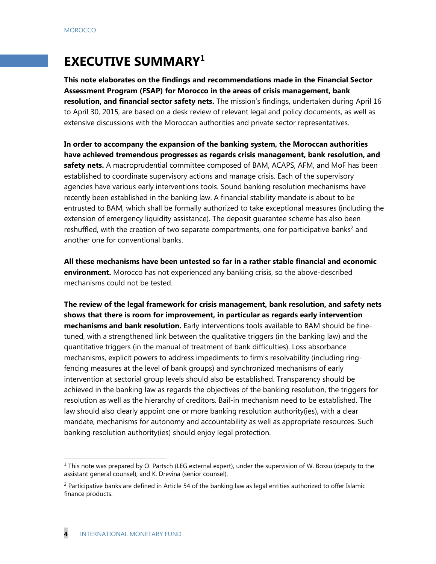# **EXECUTIVE SUMMARY1**

**This note elaborates on the findings and recommendations made in the Financial Sector Assessment Program (FSAP) for Morocco in the areas of crisis management, bank resolution, and financial sector safety nets.** The mission's findings, undertaken during April 16 to April 30, 2015, are based on a desk review of relevant legal and policy documents, as well as extensive discussions with the Moroccan authorities and private sector representatives.

**In order to accompany the expansion of the banking system, the Moroccan authorities have achieved tremendous progresses as regards crisis management, bank resolution, and safety nets.** A macroprudential committee composed of BAM, ACAPS, AFM, and MoF has been established to coordinate supervisory actions and manage crisis. Each of the supervisory agencies have various early interventions tools. Sound banking resolution mechanisms have recently been established in the banking law. A financial stability mandate is about to be entrusted to BAM, which shall be formally authorized to take exceptional measures (including the extension of emergency liquidity assistance). The deposit guarantee scheme has also been reshuffled, with the creation of two separate compartments, one for participative banks<sup>2</sup> and another one for conventional banks.

**All these mechanisms have been untested so far in a rather stable financial and economic environment.** Morocco has not experienced any banking crisis, so the above-described mechanisms could not be tested.

**The review of the legal framework for crisis management, bank resolution, and safety nets shows that there is room for improvement, in particular as regards early intervention mechanisms and bank resolution.** Early interventions tools available to BAM should be finetuned, with a strengthened link between the qualitative triggers (in the banking law) and the quantitative triggers (in the manual of treatment of bank difficulties). Loss absorbance mechanisms, explicit powers to address impediments to firm's resolvability (including ringfencing measures at the level of bank groups) and synchronized mechanisms of early intervention at sectorial group levels should also be established. Transparency should be achieved in the banking law as regards the objectives of the banking resolution, the triggers for resolution as well as the hierarchy of creditors. Bail-in mechanism need to be established. The law should also clearly appoint one or more banking resolution authority(ies), with a clear mandate, mechanisms for autonomy and accountability as well as appropriate resources. Such banking resolution authority(ies) should enjoy legal protection.

1

 $1$  This note was prepared by O. Partsch (LEG external expert), under the supervision of W. Bossu (deputy to the assistant general counsel), and K. Drevina (senior counsel).

<sup>&</sup>lt;sup>2</sup> Participative banks are defined in Article 54 of the banking law as legal entities authorized to offer Islamic finance products.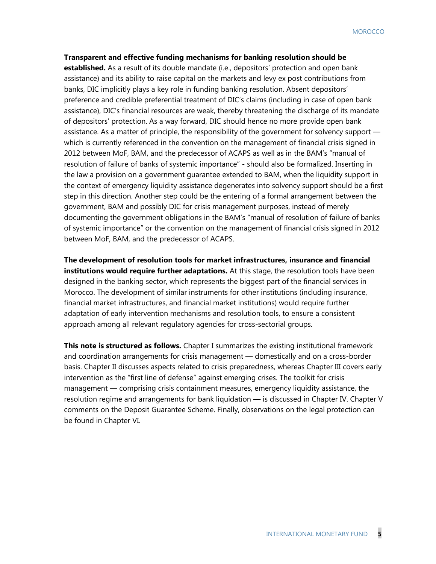#### **Transparent and effective funding mechanisms for banking resolution should be**

**established.** As a result of its double mandate (i.e., depositors' protection and open bank assistance) and its ability to raise capital on the markets and levy ex post contributions from banks, DIC implicitly plays a key role in funding banking resolution. Absent depositors' preference and credible preferential treatment of DIC's claims (including in case of open bank assistance), DIC's financial resources are weak, thereby threatening the discharge of its mandate of depositors' protection. As a way forward, DIC should hence no more provide open bank assistance. As a matter of principle, the responsibility of the government for solvency support which is currently referenced in the convention on the management of financial crisis signed in 2012 between MoF, BAM, and the predecessor of ACAPS as well as in the BAM's "manual of resolution of failure of banks of systemic importance" - should also be formalized. Inserting in the law a provision on a government guarantee extended to BAM, when the liquidity support in the context of emergency liquidity assistance degenerates into solvency support should be a first step in this direction. Another step could be the entering of a formal arrangement between the government, BAM and possibly DIC for crisis management purposes, instead of merely documenting the government obligations in the BAM's "manual of resolution of failure of banks of systemic importance" or the convention on the management of financial crisis signed in 2012 between MoF, BAM, and the predecessor of ACAPS.

**The development of resolution tools for market infrastructures, insurance and financial institutions would require further adaptations.** At this stage, the resolution tools have been designed in the banking sector, which represents the biggest part of the financial services in Morocco. The development of similar instruments for other institutions (including insurance, financial market infrastructures, and financial market institutions) would require further adaptation of early intervention mechanisms and resolution tools, to ensure a consistent approach among all relevant regulatory agencies for cross-sectorial groups.

**This note is structured as follows.** Chapter I summarizes the existing institutional framework and coordination arrangements for crisis management — domestically and on a cross-border basis. Chapter II discusses aspects related to crisis preparedness, whereas Chapter III covers early intervention as the "first line of defense" against emerging crises. The toolkit for crisis management — comprising crisis containment measures, emergency liquidity assistance, the resolution regime and arrangements for bank liquidation — is discussed in Chapter IV. Chapter V comments on the Deposit Guarantee Scheme. Finally, observations on the legal protection can be found in Chapter VI.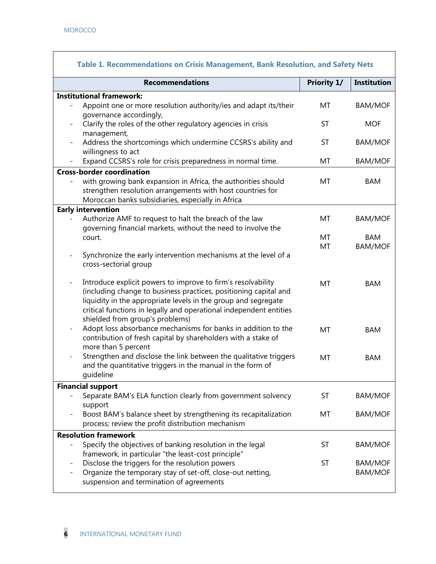|                          | <b>Recommendations</b>                                                                                                                                                                                                                                                                                      | Priority 1/ | <b>Institution</b>               |
|--------------------------|-------------------------------------------------------------------------------------------------------------------------------------------------------------------------------------------------------------------------------------------------------------------------------------------------------------|-------------|----------------------------------|
|                          |                                                                                                                                                                                                                                                                                                             |             |                                  |
|                          | <b>Institutional framework:</b>                                                                                                                                                                                                                                                                             |             |                                  |
|                          | Appoint one or more resolution authority/ies and adapt its/their<br>governance accordingly,                                                                                                                                                                                                                 | MT          | <b>BAM/MOF</b>                   |
|                          | Clarify the roles of the other regulatory agencies in crisis<br>management,                                                                                                                                                                                                                                 | <b>ST</b>   | <b>MOF</b>                       |
|                          | Address the shortcomings which undermine CCSRS's ability and<br>willingness to act                                                                                                                                                                                                                          | <b>ST</b>   | <b>BAM/MOF</b>                   |
|                          | Expand CCSRS's role for crisis preparedness in normal time.                                                                                                                                                                                                                                                 | MT          | <b>BAM/MOF</b>                   |
|                          | <b>Cross-border coordination</b>                                                                                                                                                                                                                                                                            |             |                                  |
|                          | with growing bank expansion in Africa, the authorities should<br>strengthen resolution arrangements with host countries for<br>Moroccan banks subsidiaries, especially in Africa                                                                                                                            | MT          | <b>BAM</b>                       |
|                          | <b>Early intervention</b>                                                                                                                                                                                                                                                                                   |             |                                  |
|                          | Authorize AMF to request to halt the breach of the law<br>governing financial markets, without the need to involve the                                                                                                                                                                                      | MT          | <b>BAM/MOF</b>                   |
|                          | court.                                                                                                                                                                                                                                                                                                      | MT          | <b>BAM</b>                       |
|                          |                                                                                                                                                                                                                                                                                                             | MT          | <b>BAM/MOF</b>                   |
|                          | Synchronize the early intervention mechanisms at the level of a<br>cross-sectorial group                                                                                                                                                                                                                    |             |                                  |
| $\frac{1}{2}$            | Introduce explicit powers to improve to firm's resolvability<br>(including change to business practices, positioning capital and<br>liquidity in the appropriate levels in the group and segregate<br>critical functions in legally and operational independent entities<br>shielded from group's problems) | MT          | <b>BAM</b>                       |
| $\overline{\phantom{a}}$ | Adopt loss absorbance mechanisms for banks in addition to the<br>contribution of fresh capital by shareholders with a stake of<br>more than 5 percent                                                                                                                                                       | MT          | <b>BAM</b>                       |
|                          | Strengthen and disclose the link between the qualitative triggers<br>and the quantitative triggers in the manual in the form of<br>guideline                                                                                                                                                                | MT          | <b>BAM</b>                       |
|                          | <b>Financial support</b>                                                                                                                                                                                                                                                                                    |             |                                  |
|                          | Separate BAM's ELA function clearly from government solvency<br>support                                                                                                                                                                                                                                     | ST          | <b>BAM/MOF</b>                   |
|                          | Boost BAM's balance sheet by strengthening its recapitalization<br>process; review the profit distribution mechanism                                                                                                                                                                                        | MT          | <b>BAM/MOF</b>                   |
|                          | <b>Resolution framework</b>                                                                                                                                                                                                                                                                                 |             |                                  |
|                          | Specify the objectives of banking resolution in the legal<br>framework, in particular "the least-cost principle"                                                                                                                                                                                            | <b>ST</b>   | <b>BAM/MOF</b>                   |
|                          | Disclose the triggers for the resolution powers<br>Organize the temporary stay of set-off, close-out netting,<br>suspension and termination of agreements                                                                                                                                                   | ST          | <b>BAM/MOF</b><br><b>BAM/MOF</b> |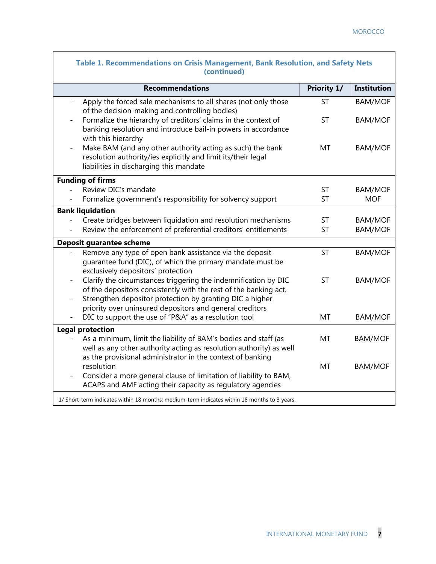$\mathsf{l}$ 

| Table 1. Recommendations on Crisis Management, Bank Resolution, and Safety Nets<br>(continued)                                                                                                       |                        |                                  |  |  |
|------------------------------------------------------------------------------------------------------------------------------------------------------------------------------------------------------|------------------------|----------------------------------|--|--|
| <b>Recommendations</b>                                                                                                                                                                               | Priority 1/            | <b>Institution</b>               |  |  |
| Apply the forced sale mechanisms to all shares (not only those<br>of the decision-making and controlling bodies)                                                                                     | <b>ST</b>              | <b>BAM/MOF</b>                   |  |  |
| Formalize the hierarchy of creditors' claims in the context of<br>banking resolution and introduce bail-in powers in accordance<br>with this hierarchy                                               | <b>ST</b>              | <b>BAM/MOF</b>                   |  |  |
| Make BAM (and any other authority acting as such) the bank<br>resolution authority/ies explicitly and limit its/their legal<br>liabilities in discharging this mandate                               | MT                     | <b>BAM/MOF</b>                   |  |  |
| <b>Funding of firms</b>                                                                                                                                                                              |                        |                                  |  |  |
| Review DIC's mandate                                                                                                                                                                                 | <b>ST</b>              | <b>BAM/MOF</b>                   |  |  |
| Formalize government's responsibility for solvency support                                                                                                                                           | <b>ST</b>              | <b>MOF</b>                       |  |  |
| <b>Bank liquidation</b>                                                                                                                                                                              |                        |                                  |  |  |
| Create bridges between liquidation and resolution mechanisms<br>Review the enforcement of preferential creditors' entitlements                                                                       | <b>ST</b><br><b>ST</b> | <b>BAM/MOF</b><br><b>BAM/MOF</b> |  |  |
|                                                                                                                                                                                                      |                        |                                  |  |  |
| Deposit guarantee scheme                                                                                                                                                                             |                        |                                  |  |  |
| Remove any type of open bank assistance via the deposit<br>quarantee fund (DIC), of which the primary mandate must be<br>exclusively depositors' protection                                          | <b>ST</b>              | <b>BAM/MOF</b>                   |  |  |
| Clarify the circumstances triggering the indemnification by DIC<br>of the depositors consistently with the rest of the banking act.<br>Strengthen depositor protection by granting DIC a higher      | <b>ST</b>              | <b>BAM/MOF</b>                   |  |  |
| priority over uninsured depositors and general creditors                                                                                                                                             |                        |                                  |  |  |
| DIC to support the use of "P&A" as a resolution tool                                                                                                                                                 | <b>MT</b>              | <b>BAM/MOF</b>                   |  |  |
| <b>Legal protection</b>                                                                                                                                                                              |                        |                                  |  |  |
| As a minimum, limit the liability of BAM's bodies and staff (as<br>well as any other authority acting as resolution authority) as well<br>as the provisional administrator in the context of banking | MT                     | <b>BAM/MOF</b>                   |  |  |
| resolution                                                                                                                                                                                           | MT                     | <b>BAM/MOF</b>                   |  |  |
| Consider a more general clause of limitation of liability to BAM,<br>$\overline{\phantom{0}}$<br>ACAPS and AMF acting their capacity as regulatory agencies                                          |                        |                                  |  |  |
| 1/ Short-term indicates within 18 months; medium-term indicates within 18 months to 3 years.                                                                                                         |                        |                                  |  |  |

 $\overline{\phantom{a}}$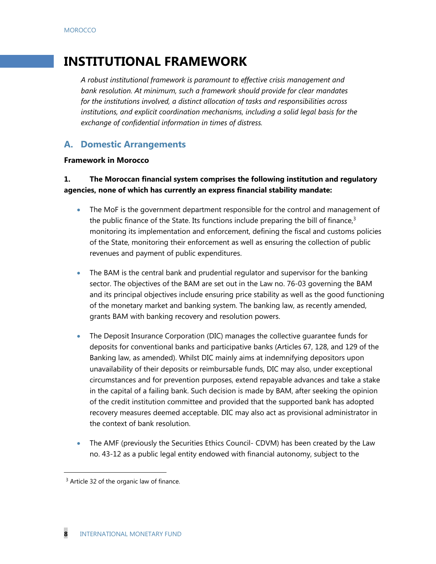# **INSTITUTIONAL FRAMEWORK**

*A robust institutional framework is paramount to effective crisis management and bank resolution. At minimum, such a framework should provide for clear mandates for the institutions involved, a distinct allocation of tasks and responsibilities across institutions, and explicit coordination mechanisms, including a solid legal basis for the exchange of confidential information in times of distress.*

# **A. Domestic Arrangements**

#### **Framework in Morocco**

## **1. The Moroccan financial system comprises the following institution and regulatory agencies, none of which has currently an express financial stability mandate:**

- The MoF is the government department responsible for the control and management of the public finance of the State. Its functions include preparing the bill of finance, $3$ monitoring its implementation and enforcement, defining the fiscal and customs policies of the State, monitoring their enforcement as well as ensuring the collection of public revenues and payment of public expenditures.
- The BAM is the central bank and prudential regulator and supervisor for the banking sector. The objectives of the BAM are set out in the Law no. 76-03 governing the BAM and its principal objectives include ensuring price stability as well as the good functioning of the monetary market and banking system. The banking law, as recently amended, grants BAM with banking recovery and resolution powers.
- The Deposit Insurance Corporation (DIC) manages the collective guarantee funds for deposits for conventional banks and participative banks (Articles 67, 128, and 129 of the Banking law, as amended). Whilst DIC mainly aims at indemnifying depositors upon unavailability of their deposits or reimbursable funds, DIC may also, under exceptional circumstances and for prevention purposes, extend repayable advances and take a stake in the capital of a failing bank. Such decision is made by BAM, after seeking the opinion of the credit institution committee and provided that the supported bank has adopted recovery measures deemed acceptable. DIC may also act as provisional administrator in the context of bank resolution.
- The AMF (previously the Securities Ethics Council- CDVM) has been created by the Law no. 43-12 as a public legal entity endowed with financial autonomy, subject to the

-

<sup>&</sup>lt;sup>3</sup> Article 32 of the organic law of finance.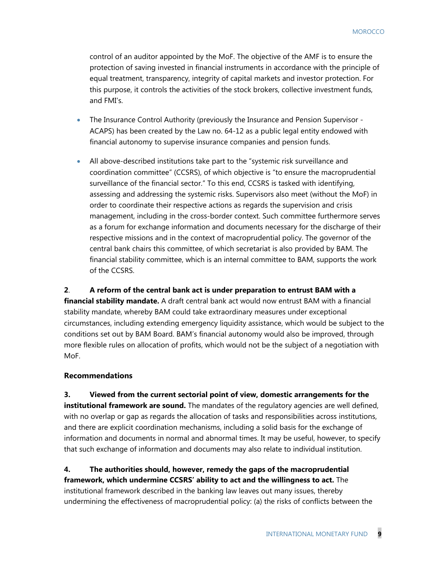control of an auditor appointed by the MoF. The objective of the AMF is to ensure the protection of saving invested in financial instruments in accordance with the principle of equal treatment, transparency, integrity of capital markets and investor protection. For this purpose, it controls the activities of the stock brokers, collective investment funds, and FMI's.

- The Insurance Control Authority (previously the Insurance and Pension Supervisor ACAPS) has been created by the Law no. 64-12 as a public legal entity endowed with financial autonomy to supervise insurance companies and pension funds.
- All above-described institutions take part to the "systemic risk surveillance and coordination committee" (CCSRS), of which objective is "to ensure the macroprudential surveillance of the financial sector." To this end, CCSRS is tasked with identifying, assessing and addressing the systemic risks. Supervisors also meet (without the MoF) in order to coordinate their respective actions as regards the supervision and crisis management, including in the cross-border context. Such committee furthermore serves as a forum for exchange information and documents necessary for the discharge of their respective missions and in the context of macroprudential policy. The governor of the central bank chairs this committee, of which secretariat is also provided by BAM. The financial stability committee, which is an internal committee to BAM, supports the work of the CCSRS.

#### **2**. **A reform of the central bank act is under preparation to entrust BAM with a**

**financial stability mandate.** A draft central bank act would now entrust BAM with a financial stability mandate, whereby BAM could take extraordinary measures under exceptional circumstances, including extending emergency liquidity assistance, which would be subject to the conditions set out by BAM Board. BAM's financial autonomy would also be improved, through more flexible rules on allocation of profits, which would not be the subject of a negotiation with MoF.

#### **Recommendations**

**3. Viewed from the current sectorial point of view, domestic arrangements for the institutional framework are sound.** The mandates of the regulatory agencies are well defined, with no overlap or gap as regards the allocation of tasks and responsibilities across institutions, and there are explicit coordination mechanisms, including a solid basis for the exchange of information and documents in normal and abnormal times. It may be useful, however, to specify that such exchange of information and documents may also relate to individual institution.

**4. The authorities should, however, remedy the gaps of the macroprudential framework, which undermine CCSRS' ability to act and the willingness to act.** The institutional framework described in the banking law leaves out many issues, thereby undermining the effectiveness of macroprudential policy: (a) the risks of conflicts between the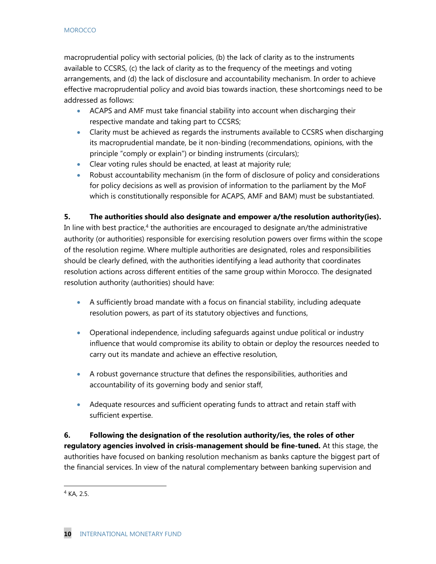#### **MOROCCO**

macroprudential policy with sectorial policies, (b) the lack of clarity as to the instruments available to CCSRS, (c) the lack of clarity as to the frequency of the meetings and voting arrangements, and (d) the lack of disclosure and accountability mechanism. In order to achieve effective macroprudential policy and avoid bias towards inaction, these shortcomings need to be addressed as follows:

- ACAPS and AMF must take financial stability into account when discharging their respective mandate and taking part to CCSRS;
- Clarity must be achieved as regards the instruments available to CCSRS when discharging its macroprudential mandate, be it non-binding (recommendations, opinions, with the principle "comply or explain") or binding instruments (circulars);
- Clear voting rules should be enacted, at least at majority rule;
- Robust accountability mechanism (in the form of disclosure of policy and considerations for policy decisions as well as provision of information to the parliament by the MoF which is constitutionally responsible for ACAPS, AMF and BAM) must be substantiated.

### **5. The authorities should also designate and empower a/the resolution authority(ies).**

In line with best practice,<sup>4</sup> the authorities are encouraged to designate an/the administrative authority (or authorities) responsible for exercising resolution powers over firms within the scope of the resolution regime. Where multiple authorities are designated, roles and responsibilities should be clearly defined, with the authorities identifying a lead authority that coordinates resolution actions across different entities of the same group within Morocco. The designated resolution authority (authorities) should have:

- A sufficiently broad mandate with a focus on financial stability, including adequate resolution powers, as part of its statutory objectives and functions,
- Operational independence, including safeguards against undue political or industry influence that would compromise its ability to obtain or deploy the resources needed to carry out its mandate and achieve an effective resolution,
- A robust governance structure that defines the responsibilities, authorities and accountability of its governing body and senior staff,
- Adequate resources and sufficient operating funds to attract and retain staff with sufficient expertise.

**6. Following the designation of the resolution authority/ies, the roles of other regulatory agencies involved in crisis-management should be fine-tuned.** At this stage, the authorities have focused on banking resolution mechanism as banks capture the biggest part of the financial services. In view of the natural complementary between banking supervision and

1

 $4$  KA, 2.5.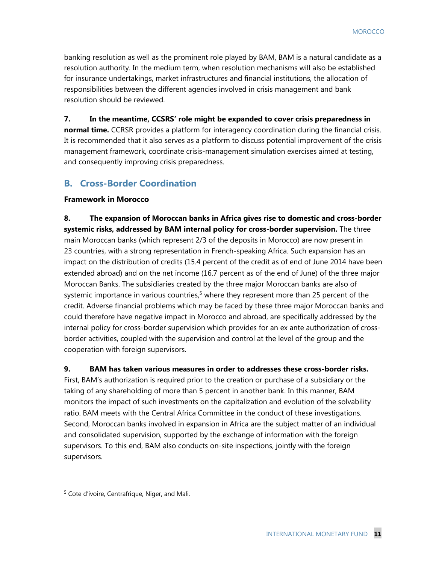banking resolution as well as the prominent role played by BAM, BAM is a natural candidate as a resolution authority. In the medium term, when resolution mechanisms will also be established for insurance undertakings, market infrastructures and financial institutions, the allocation of responsibilities between the different agencies involved in crisis management and bank resolution should be reviewed.

#### **7. In the meantime, CCSRS' role might be expanded to cover crisis preparedness in**

**normal time.** CCRSR provides a platform for interagency coordination during the financial crisis. It is recommended that it also serves as a platform to discuss potential improvement of the crisis management framework, coordinate crisis-management simulation exercises aimed at testing, and consequently improving crisis preparedness.

## **B. Cross-Border Coordination**

#### **Framework in Morocco**

**8. The expansion of Moroccan banks in Africa gives rise to domestic and cross-border systemic risks, addressed by BAM internal policy for cross-border supervision.** The three main Moroccan banks (which represent 2/3 of the deposits in Morocco) are now present in 23 countries, with a strong representation in French-speaking Africa. Such expansion has an impact on the distribution of credits (15.4 percent of the credit as of end of June 2014 have been extended abroad) and on the net income (16.7 percent as of the end of June) of the three major Moroccan Banks. The subsidiaries created by the three major Moroccan banks are also of systemic importance in various countries,<sup>5</sup> where they represent more than 25 percent of the credit. Adverse financial problems which may be faced by these three major Moroccan banks and could therefore have negative impact in Morocco and abroad, are specifically addressed by the internal policy for cross-border supervision which provides for an ex ante authorization of crossborder activities, coupled with the supervision and control at the level of the group and the cooperation with foreign supervisors.

#### **9. BAM has taken various measures in order to addresses these cross-border risks.**

First, BAM's authorization is required prior to the creation or purchase of a subsidiary or the taking of any shareholding of more than 5 percent in another bank. In this manner, BAM monitors the impact of such investments on the capitalization and evolution of the solvability ratio. BAM meets with the Central Africa Committee in the conduct of these investigations. Second, Moroccan banks involved in expansion in Africa are the subject matter of an individual and consolidated supervision, supported by the exchange of information with the foreign supervisors. To this end, BAM also conducts on-site inspections, jointly with the foreign supervisors.

1

<sup>5</sup> Cote d'ivoire, Centrafrique, Niger, and Mali.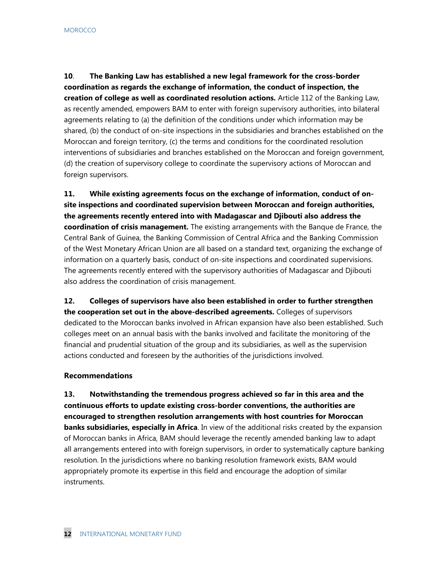**10**. **The Banking Law has established a new legal framework for the cross-border coordination as regards the exchange of information, the conduct of inspection, the creation of college as well as coordinated resolution actions.** Article 112 of the Banking Law, as recently amended, empowers BAM to enter with foreign supervisory authorities, into bilateral agreements relating to (a) the definition of the conditions under which information may be shared, (b) the conduct of on-site inspections in the subsidiaries and branches established on the Moroccan and foreign territory, (c) the terms and conditions for the coordinated resolution interventions of subsidiaries and branches established on the Moroccan and foreign government, (d) the creation of supervisory college to coordinate the supervisory actions of Moroccan and foreign supervisors.

**11. While existing agreements focus on the exchange of information, conduct of onsite inspections and coordinated supervision between Moroccan and foreign authorities, the agreements recently entered into with Madagascar and Djibouti also address the coordination of crisis management.** The existing arrangements with the Banque de France, the Central Bank of Guinea, the Banking Commission of Central Africa and the Banking Commission of the West Monetary African Union are all based on a standard text, organizing the exchange of information on a quarterly basis, conduct of on-site inspections and coordinated supervisions. The agreements recently entered with the supervisory authorities of Madagascar and Djibouti also address the coordination of crisis management.

**12. Colleges of supervisors have also been established in order to further strengthen the cooperation set out in the above-described agreements.** Colleges of supervisors dedicated to the Moroccan banks involved in African expansion have also been established. Such colleges meet on an annual basis with the banks involved and facilitate the monitoring of the financial and prudential situation of the group and its subsidiaries, as well as the supervision actions conducted and foreseen by the authorities of the jurisdictions involved.

#### **Recommendations**

**13. Notwithstanding the tremendous progress achieved so far in this area and the continuous efforts to update existing cross-border conventions, the authorities are encouraged to strengthen resolution arrangements with host countries for Moroccan banks subsidiaries, especially in Africa**. In view of the additional risks created by the expansion of Moroccan banks in Africa, BAM should leverage the recently amended banking law to adapt all arrangements entered into with foreign supervisors, in order to systematically capture banking resolution. In the jurisdictions where no banking resolution framework exists, BAM would appropriately promote its expertise in this field and encourage the adoption of similar instruments.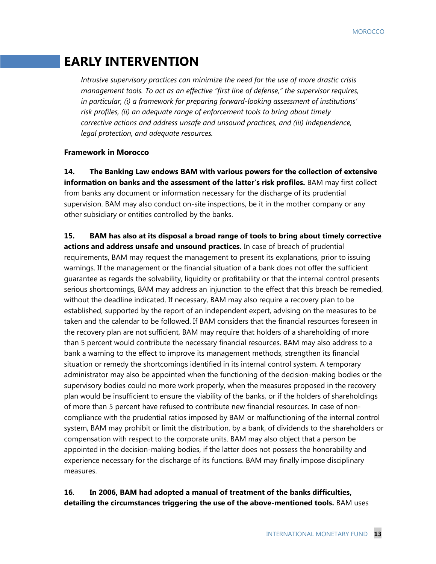# **EARLY INTERVENTION**

*Intrusive supervisory practices can minimize the need for the use of more drastic crisis management tools. To act as an effective "first line of defense," the supervisor requires, in particular, (i) a framework for preparing forward-looking assessment of institutions' risk profiles, (ii) an adequate range of enforcement tools to bring about timely corrective actions and address unsafe and unsound practices, and (iii) independence, legal protection, and adequate resources.* 

#### **Framework in Morocco**

**14. The Banking Law endows BAM with various powers for the collection of extensive information on banks and the assessment of the latter's risk profiles.** BAM may first collect from banks any document or information necessary for the discharge of its prudential supervision. BAM may also conduct on-site inspections, be it in the mother company or any other subsidiary or entities controlled by the banks.

**15. BAM has also at its disposal a broad range of tools to bring about timely corrective actions and address unsafe and unsound practices.** In case of breach of prudential requirements, BAM may request the management to present its explanations, prior to issuing warnings. If the management or the financial situation of a bank does not offer the sufficient guarantee as regards the solvability, liquidity or profitability or that the internal control presents serious shortcomings, BAM may address an injunction to the effect that this breach be remedied, without the deadline indicated. If necessary, BAM may also require a recovery plan to be established, supported by the report of an independent expert, advising on the measures to be taken and the calendar to be followed. If BAM considers that the financial resources foreseen in the recovery plan are not sufficient, BAM may require that holders of a shareholding of more than 5 percent would contribute the necessary financial resources. BAM may also address to a bank a warning to the effect to improve its management methods, strengthen its financial situation or remedy the shortcomings identified in its internal control system. A temporary administrator may also be appointed when the functioning of the decision-making bodies or the supervisory bodies could no more work properly, when the measures proposed in the recovery plan would be insufficient to ensure the viability of the banks, or if the holders of shareholdings of more than 5 percent have refused to contribute new financial resources. In case of noncompliance with the prudential ratios imposed by BAM or malfunctioning of the internal control system, BAM may prohibit or limit the distribution, by a bank, of dividends to the shareholders or compensation with respect to the corporate units. BAM may also object that a person be appointed in the decision-making bodies, if the latter does not possess the honorability and experience necessary for the discharge of its functions. BAM may finally impose disciplinary measures.

## **16**. **In 2006, BAM had adopted a manual of treatment of the banks difficulties, detailing the circumstances triggering the use of the above-mentioned tools.** BAM uses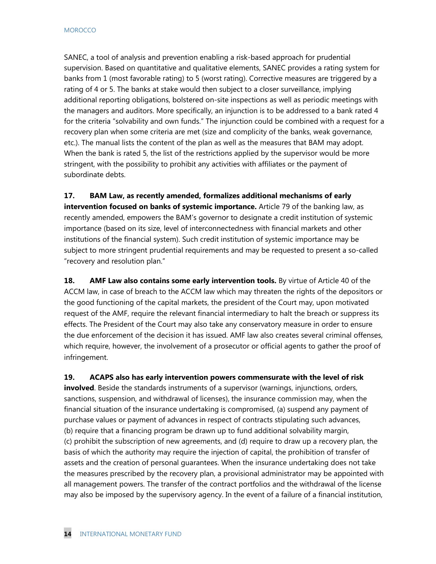SANEC, a tool of analysis and prevention enabling a risk-based approach for prudential supervision. Based on quantitative and qualitative elements, SANEC provides a rating system for banks from 1 (most favorable rating) to 5 (worst rating). Corrective measures are triggered by a rating of 4 or 5. The banks at stake would then subject to a closer surveillance, implying additional reporting obligations, bolstered on-site inspections as well as periodic meetings with the managers and auditors. More specifically, an injunction is to be addressed to a bank rated 4 for the criteria "solvability and own funds." The injunction could be combined with a request for a recovery plan when some criteria are met (size and complicity of the banks, weak governance, etc.). The manual lists the content of the plan as well as the measures that BAM may adopt. When the bank is rated 5, the list of the restrictions applied by the supervisor would be more stringent, with the possibility to prohibit any activities with affiliates or the payment of subordinate debts.

**17. BAM Law, as recently amended, formalizes additional mechanisms of early intervention focused on banks of systemic importance.** Article 79 of the banking law, as recently amended, empowers the BAM's governor to designate a credit institution of systemic importance (based on its size, level of interconnectedness with financial markets and other institutions of the financial system). Such credit institution of systemic importance may be subject to more stringent prudential requirements and may be requested to present a so-called "recovery and resolution plan."

**18.** AMF Law also contains some early intervention tools. By virtue of Article 40 of the ACCM law, in case of breach to the ACCM law which may threaten the rights of the depositors or the good functioning of the capital markets, the president of the Court may, upon motivated request of the AMF, require the relevant financial intermediary to halt the breach or suppress its effects. The President of the Court may also take any conservatory measure in order to ensure the due enforcement of the decision it has issued. AMF law also creates several criminal offenses, which require, however, the involvement of a prosecutor or official agents to gather the proof of infringement.

**19. ACAPS also has early intervention powers commensurate with the level of risk involved**. Beside the standards instruments of a supervisor (warnings, injunctions, orders, sanctions, suspension, and withdrawal of licenses), the insurance commission may, when the financial situation of the insurance undertaking is compromised, (a) suspend any payment of purchase values or payment of advances in respect of contracts stipulating such advances, (b) require that a financing program be drawn up to fund additional solvability margin, (c) prohibit the subscription of new agreements, and (d) require to draw up a recovery plan, the basis of which the authority may require the injection of capital, the prohibition of transfer of assets and the creation of personal guarantees. When the insurance undertaking does not take the measures prescribed by the recovery plan, a provisional administrator may be appointed with all management powers. The transfer of the contract portfolios and the withdrawal of the license may also be imposed by the supervisory agency. In the event of a failure of a financial institution,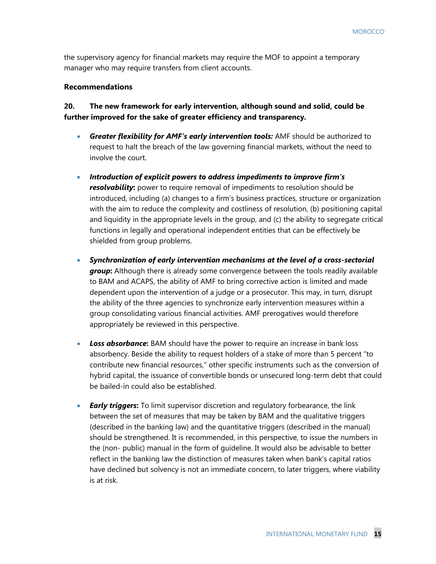the supervisory agency for financial markets may require the MOF to appoint a temporary manager who may require transfers from client accounts.

#### **Recommendations**

### **20. The new framework for early intervention, although sound and solid, could be further improved for the sake of greater efficiency and transparency.**

- *Greater flexibility for AMF's early intervention tools:* AMF should be authorized to request to halt the breach of the law governing financial markets, without the need to involve the court.
- *Introduction of explicit powers to address impediments to improve firm's*  **resolvability:** power to require removal of impediments to resolution should be introduced, including (a) changes to a firm's business practices, structure or organization with the aim to reduce the complexity and costliness of resolution, (b) positioning capital and liquidity in the appropriate levels in the group, and (c) the ability to segregate critical functions in legally and operational independent entities that can be effectively be shielded from group problems.
- *Synchronization of early intervention mechanisms at the level of a cross-sectorial*  **group**: Although there is already some convergence between the tools readily available to BAM and ACAPS, the ability of AMF to bring corrective action is limited and made dependent upon the intervention of a judge or a prosecutor. This may, in turn, disrupt the ability of the three agencies to synchronize early intervention measures within a group consolidating various financial activities. AMF prerogatives would therefore appropriately be reviewed in this perspective.
- *Loss absorbance***:** BAM should have the power to require an increase in bank loss absorbency. Beside the ability to request holders of a stake of more than 5 percent "to contribute new financial resources," other specific instruments such as the conversion of hybrid capital, the issuance of convertible bonds or unsecured long-term debt that could be bailed-in could also be established.
- *Early triggers***:** To limit supervisor discretion and regulatory forbearance, the link between the set of measures that may be taken by BAM and the qualitative triggers (described in the banking law) and the quantitative triggers (described in the manual) should be strengthened. It is recommended, in this perspective, to issue the numbers in the (non- public) manual in the form of guideline. It would also be advisable to better reflect in the banking law the distinction of measures taken when bank's capital ratios have declined but solvency is not an immediate concern, to later triggers, where viability is at risk.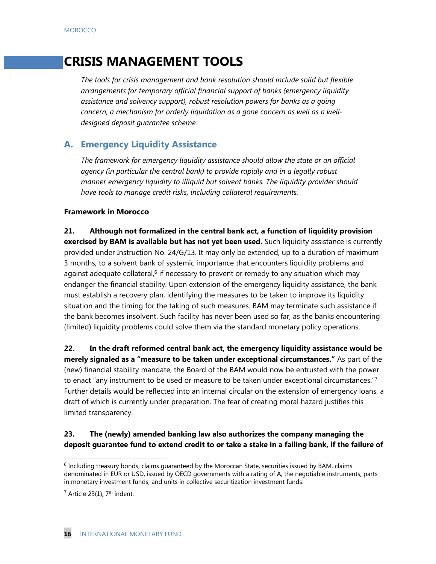# **CRISIS MANAGEMENT TOOLS**

*The tools for crisis management and bank resolution should include solid but flexible arrangements for temporary official financial support of banks (emergency liquidity assistance and solvency support), robust resolution powers for banks as a going concern, a mechanism for orderly liquidation as a gone concern as well as a welldesigned deposit guarantee scheme.* 

# **A. Emergency Liquidity Assistance**

*The framework for emergency liquidity assistance should allow the state or an official agency (in particular the central bank) to provide rapidly and in a legally robust manner emergency liquidity to illiquid but solvent banks. The liquidity provider should have tools to manage credit risks, including collateral requirements.* 

#### **Framework in Morocco**

**21. Although not formalized in the central bank act, a function of liquidity provision exercised by BAM is available but has not yet been used.** Such liquidity assistance is currently provided under Instruction No. 24/G/13. It may only be extended, up to a duration of maximum 3 months, to a solvent bank of systemic importance that encounters liquidity problems and against adequate collateral,<sup>6</sup> if necessary to prevent or remedy to any situation which may endanger the financial stability. Upon extension of the emergency liquidity assistance, the bank must establish a recovery plan, identifying the measures to be taken to improve its liquidity situation and the timing for the taking of such measures. BAM may terminate such assistance if the bank becomes insolvent. Such facility has never been used so far, as the banks encountering (limited) liquidity problems could solve them via the standard monetary policy operations.

**22. In the draft reformed central bank act, the emergency liquidity assistance would be merely signaled as a "measure to be taken under exceptional circumstances."** As part of the (new) financial stability mandate, the Board of the BAM would now be entrusted with the power to enact "any instrument to be used or measure to be taken under exceptional circumstances."<sup>7</sup> Further details would be reflected into an internal circular on the extension of emergency loans, a draft of which is currently under preparation. The fear of creating moral hazard justifies this limited transparency.

## **23. The (newly) amended banking law also authorizes the company managing the deposit guarantee fund to extend credit to or take a stake in a failing bank, if the failure of**

 $\overline{a}$ 

 $6$  Including treasury bonds, claims guaranteed by the Moroccan State, securities issued by BAM, claims denominated in EUR or USD, issued by OECD governments with a rating of A, the negotiable instruments, parts in monetary investment funds, and units in collective securitization investment funds.

 $<sup>7</sup>$  Article 23(1), 7<sup>th</sup> indent.</sup>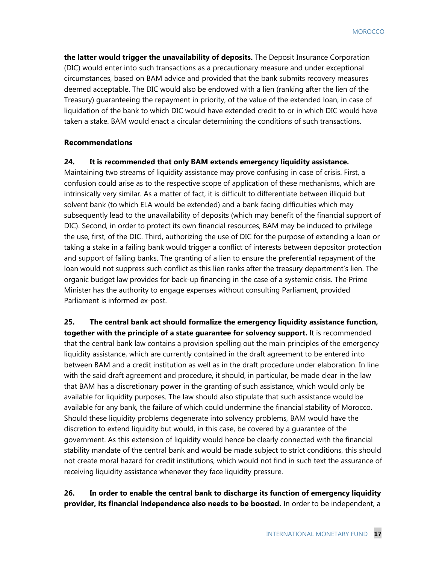**the latter would trigger the unavailability of deposits.** The Deposit Insurance Corporation (DIC) would enter into such transactions as a precautionary measure and under exceptional circumstances, based on BAM advice and provided that the bank submits recovery measures deemed acceptable. The DIC would also be endowed with a lien (ranking after the lien of the Treasury) guaranteeing the repayment in priority, of the value of the extended loan, in case of liquidation of the bank to which DIC would have extended credit to or in which DIC would have taken a stake. BAM would enact a circular determining the conditions of such transactions.

#### **Recommendations**

#### **24. It is recommended that only BAM extends emergency liquidity assistance.**

Maintaining two streams of liquidity assistance may prove confusing in case of crisis. First, a confusion could arise as to the respective scope of application of these mechanisms, which are intrinsically very similar. As a matter of fact, it is difficult to differentiate between illiquid but solvent bank (to which ELA would be extended) and a bank facing difficulties which may subsequently lead to the unavailability of deposits (which may benefit of the financial support of DIC). Second, in order to protect its own financial resources, BAM may be induced to privilege the use, first, of the DIC. Third, authorizing the use of DIC for the purpose of extending a loan or taking a stake in a failing bank would trigger a conflict of interests between depositor protection and support of failing banks. The granting of a lien to ensure the preferential repayment of the loan would not suppress such conflict as this lien ranks after the treasury department's lien. The organic budget law provides for back-up financing in the case of a systemic crisis. The Prime Minister has the authority to engage expenses without consulting Parliament, provided Parliament is informed ex-post.

**25. The central bank act should formalize the emergency liquidity assistance function, together with the principle of a state guarantee for solvency support.** It is recommended that the central bank law contains a provision spelling out the main principles of the emergency liquidity assistance, which are currently contained in the draft agreement to be entered into between BAM and a credit institution as well as in the draft procedure under elaboration. In line with the said draft agreement and procedure, it should, in particular, be made clear in the law that BAM has a discretionary power in the granting of such assistance, which would only be available for liquidity purposes. The law should also stipulate that such assistance would be available for any bank, the failure of which could undermine the financial stability of Morocco. Should these liquidity problems degenerate into solvency problems, BAM would have the discretion to extend liquidity but would, in this case, be covered by a guarantee of the government. As this extension of liquidity would hence be clearly connected with the financial stability mandate of the central bank and would be made subject to strict conditions, this should not create moral hazard for credit institutions, which would not find in such text the assurance of receiving liquidity assistance whenever they face liquidity pressure.

## **26. In order to enable the central bank to discharge its function of emergency liquidity provider, its financial independence also needs to be boosted.** In order to be independent, a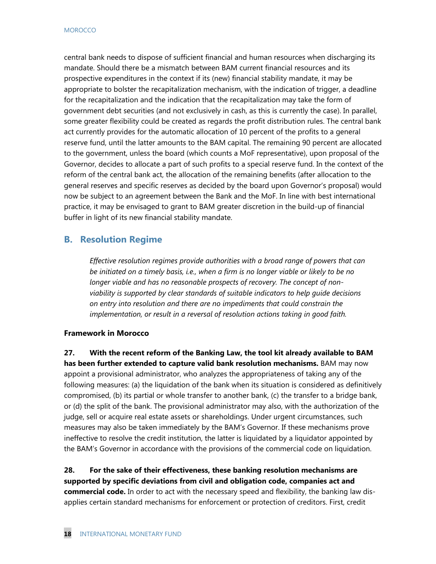central bank needs to dispose of sufficient financial and human resources when discharging its mandate. Should there be a mismatch between BAM current financial resources and its prospective expenditures in the context if its (new) financial stability mandate, it may be appropriate to bolster the recapitalization mechanism, with the indication of trigger, a deadline for the recapitalization and the indication that the recapitalization may take the form of government debt securities (and not exclusively in cash, as this is currently the case). In parallel, some greater flexibility could be created as regards the profit distribution rules. The central bank act currently provides for the automatic allocation of 10 percent of the profits to a general reserve fund, until the latter amounts to the BAM capital. The remaining 90 percent are allocated to the government, unless the board (which counts a MoF representative), upon proposal of the Governor, decides to allocate a part of such profits to a special reserve fund. In the context of the reform of the central bank act, the allocation of the remaining benefits (after allocation to the general reserves and specific reserves as decided by the board upon Governor's proposal) would now be subject to an agreement between the Bank and the MoF. In line with best international practice, it may be envisaged to grant to BAM greater discretion in the build-up of financial buffer in light of its new financial stability mandate.

# **B. Resolution Regime**

*Effective resolution regimes provide authorities with a broad range of powers that can be initiated on a timely basis, i.e., when a firm is no longer viable or likely to be no longer viable and has no reasonable prospects of recovery. The concept of nonviability is supported by clear standards of suitable indicators to help guide decisions on entry into resolution and there are no impediments that could constrain the implementation, or result in a reversal of resolution actions taking in good faith.* 

#### **Framework in Morocco**

**27. With the recent reform of the Banking Law, the tool kit already available to BAM has been further extended to capture valid bank resolution mechanisms.** BAM may now appoint a provisional administrator, who analyzes the appropriateness of taking any of the following measures: (a) the liquidation of the bank when its situation is considered as definitively compromised, (b) its partial or whole transfer to another bank, (c) the transfer to a bridge bank, or (d) the split of the bank. The provisional administrator may also, with the authorization of the judge, sell or acquire real estate assets or shareholdings. Under urgent circumstances, such measures may also be taken immediately by the BAM's Governor. If these mechanisms prove ineffective to resolve the credit institution, the latter is liquidated by a liquidator appointed by the BAM's Governor in accordance with the provisions of the commercial code on liquidation.

**28. For the sake of their effectiveness, these banking resolution mechanisms are supported by specific deviations from civil and obligation code, companies act and commercial code.** In order to act with the necessary speed and flexibility, the banking law disapplies certain standard mechanisms for enforcement or protection of creditors. First, credit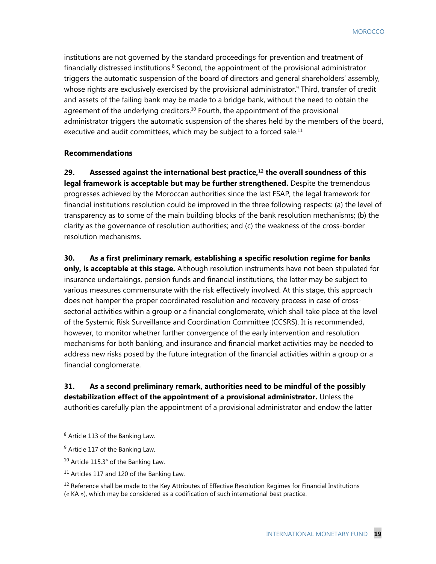institutions are not governed by the standard proceedings for prevention and treatment of financially distressed institutions.<sup>8</sup> Second, the appointment of the provisional administrator triggers the automatic suspension of the board of directors and general shareholders' assembly, whose rights are exclusively exercised by the provisional administrator.<sup>9</sup> Third, transfer of credit and assets of the failing bank may be made to a bridge bank, without the need to obtain the agreement of the underlying creditors.<sup>10</sup> Fourth, the appointment of the provisional administrator triggers the automatic suspension of the shares held by the members of the board, executive and audit committees, which may be subject to a forced sale. $11$ 

#### **Recommendations**

29. Assessed against the international best practice,<sup>12</sup> the overall soundness of this **legal framework is acceptable but may be further strengthened.** Despite the tremendous progresses achieved by the Moroccan authorities since the last FSAP, the legal framework for financial institutions resolution could be improved in the three following respects: (a) the level of transparency as to some of the main building blocks of the bank resolution mechanisms; (b) the clarity as the governance of resolution authorities; and (c) the weakness of the cross-border resolution mechanisms.

**30. As a first preliminary remark, establishing a specific resolution regime for banks only, is acceptable at this stage.** Although resolution instruments have not been stipulated for insurance undertakings, pension funds and financial institutions, the latter may be subject to various measures commensurate with the risk effectively involved. At this stage, this approach does not hamper the proper coordinated resolution and recovery process in case of crosssectorial activities within a group or a financial conglomerate, which shall take place at the level of the Systemic Risk Surveillance and Coordination Committee (CCSRS). It is recommended, however, to monitor whether further convergence of the early intervention and resolution mechanisms for both banking, and insurance and financial market activities may be needed to address new risks posed by the future integration of the financial activities within a group or a financial conglomerate.

## **31. As a second preliminary remark, authorities need to be mindful of the possibly destabilization effect of the appointment of a provisional administrator.** Unless the authorities carefully plan the appointment of a provisional administrator and endow the latter

 $\overline{a}$ 

<sup>8</sup> Article 113 of the Banking Law.

<sup>&</sup>lt;sup>9</sup> Article 117 of the Banking Law.

<sup>&</sup>lt;sup>10</sup> Article 115.3° of the Banking Law.

<sup>&</sup>lt;sup>11</sup> Articles 117 and 120 of the Banking Law.

<sup>&</sup>lt;sup>12</sup> Reference shall be made to the Key Attributes of Effective Resolution Regimes for Financial Institutions (« KA »), which may be considered as a codification of such international best practice.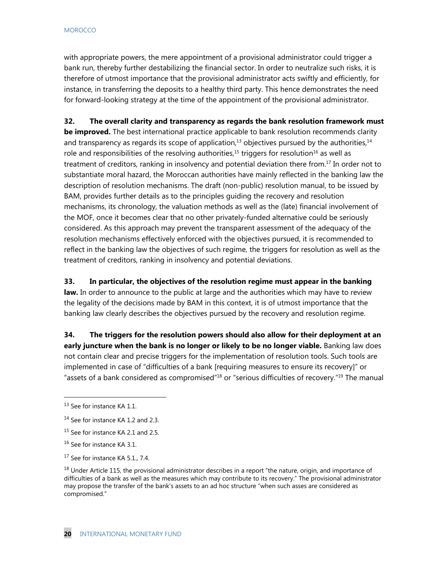with appropriate powers, the mere appointment of a provisional administrator could trigger a bank run, thereby further destabilizing the financial sector. In order to neutralize such risks, it is therefore of utmost importance that the provisional administrator acts swiftly and efficiently, for instance, in transferring the deposits to a healthy third party. This hence demonstrates the need for forward-looking strategy at the time of the appointment of the provisional administrator.

**32. The overall clarity and transparency as regards the bank resolution framework must** 

**be improved.** The best international practice applicable to bank resolution recommends clarity and transparency as regards its scope of application,<sup>13</sup> objectives pursued by the authorities,<sup>14</sup> role and responsibilities of the resolving authorities,<sup>15</sup> triggers for resolution<sup>16</sup> as well as treatment of creditors, ranking in insolvency and potential deviation there from.<sup>17</sup> In order not to substantiate moral hazard, the Moroccan authorities have mainly reflected in the banking law the description of resolution mechanisms. The draft (non-public) resolution manual, to be issued by BAM, provides further details as to the principles guiding the recovery and resolution mechanisms, its chronology, the valuation methods as well as the (late) financial involvement of the MOF, once it becomes clear that no other privately-funded alternative could be seriously considered. As this approach may prevent the transparent assessment of the adequacy of the resolution mechanisms effectively enforced with the objectives pursued, it is recommended to reflect in the banking law the objectives of such regime, the triggers for resolution as well as the treatment of creditors, ranking in insolvency and potential deviations.

**33. In particular, the objectives of the resolution regime must appear in the banking law.** In order to announce to the public at large and the authorities which may have to review the legality of the decisions made by BAM in this context, it is of utmost importance that the banking law clearly describes the objectives pursued by the recovery and resolution regime.

**34. The triggers for the resolution powers should also allow for their deployment at an early juncture when the bank is no longer or likely to be no longer viable.** Banking law does not contain clear and precise triggers for the implementation of resolution tools. Such tools are implemented in case of "difficulties of a bank [requiring measures to ensure its recovery]" or "assets of a bank considered as compromised"18 or "serious difficulties of recovery."19 The manual

 $\overline{a}$ 

<sup>13</sup> See for instance KA 1.1.

<sup>&</sup>lt;sup>14</sup> See for instance KA 1.2 and 2.3.

<sup>&</sup>lt;sup>15</sup> See for instance KA 2.1 and 2.5.

<sup>&</sup>lt;sup>16</sup> See for instance KA 3.1.

<sup>&</sup>lt;sup>17</sup> See for instance KA 5.1., 7.4.

<sup>&</sup>lt;sup>18</sup> Under Article 115, the provisional administrator describes in a report "the nature, origin, and importance of difficulties of a bank as well as the measures which may contribute to its recovery." The provisional administrator may propose the transfer of the bank's assets to an ad hoc structure "when such asses are considered as compromised."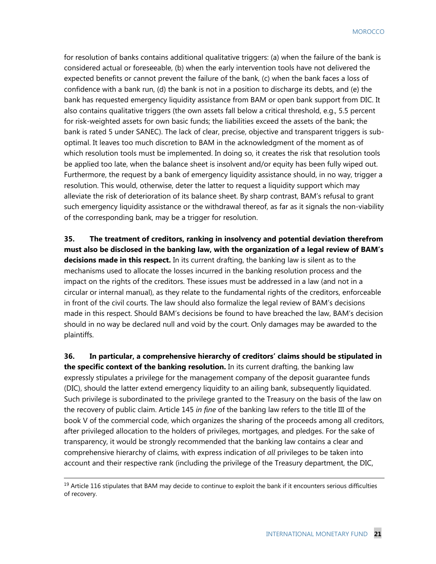for resolution of banks contains additional qualitative triggers: (a) when the failure of the bank is considered actual or foreseeable, (b) when the early intervention tools have not delivered the expected benefits or cannot prevent the failure of the bank, (c) when the bank faces a loss of confidence with a bank run, (d) the bank is not in a position to discharge its debts, and (e) the bank has requested emergency liquidity assistance from BAM or open bank support from DIC. It also contains qualitative triggers (the own assets fall below a critical threshold, e.g., 5.5 percent for risk-weighted assets for own basic funds; the liabilities exceed the assets of the bank; the bank is rated 5 under SANEC). The lack of clear, precise, objective and transparent triggers is suboptimal. It leaves too much discretion to BAM in the acknowledgment of the moment as of which resolution tools must be implemented. In doing so, it creates the risk that resolution tools be applied too late, when the balance sheet is insolvent and/or equity has been fully wiped out. Furthermore, the request by a bank of emergency liquidity assistance should, in no way, trigger a resolution. This would, otherwise, deter the latter to request a liquidity support which may alleviate the risk of deterioration of its balance sheet. By sharp contrast, BAM's refusal to grant such emergency liquidity assistance or the withdrawal thereof, as far as it signals the non-viability of the corresponding bank, may be a trigger for resolution.

**35. The treatment of creditors, ranking in insolvency and potential deviation therefrom must also be disclosed in the banking law, with the organization of a legal review of BAM's decisions made in this respect.** In its current drafting, the banking law is silent as to the mechanisms used to allocate the losses incurred in the banking resolution process and the impact on the rights of the creditors. These issues must be addressed in a law (and not in a circular or internal manual), as they relate to the fundamental rights of the creditors, enforceable in front of the civil courts. The law should also formalize the legal review of BAM's decisions made in this respect. Should BAM's decisions be found to have breached the law, BAM's decision should in no way be declared null and void by the court. Only damages may be awarded to the plaintiffs.

**36. In particular, a comprehensive hierarchy of creditors' claims should be stipulated in the specific context of the banking resolution.** In its current drafting, the banking law expressly stipulates a privilege for the management company of the deposit guarantee funds (DIC), should the latter extend emergency liquidity to an ailing bank, subsequently liquidated. Such privilege is subordinated to the privilege granted to the Treasury on the basis of the law on the recovery of public claim. Article 145 *in fine* of the banking law refers to the title III of the book V of the commercial code, which organizes the sharing of the proceeds among all creditors, after privileged allocation to the holders of privileges, mortgages, and pledges. For the sake of transparency, it would be strongly recommended that the banking law contains a clear and comprehensive hierarchy of claims, with express indication of *all* privileges to be taken into account and their respective rank (including the privilege of the Treasury department, the DIC,

<sup>&</sup>lt;sup>19</sup> Article 116 stipulates that BAM may decide to continue to exploit the bank if it encounters serious difficulties of recovery.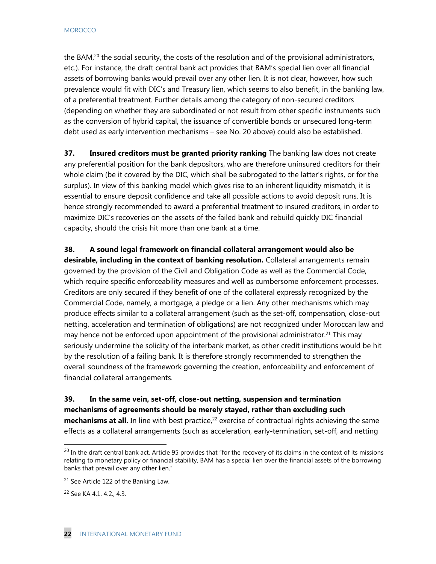the BAM, $<sup>20</sup>$  the social security, the costs of the resolution and of the provisional administrators,</sup> etc.). For instance, the draft central bank act provides that BAM's special lien over all financial assets of borrowing banks would prevail over any other lien. It is not clear, however, how such prevalence would fit with DIC's and Treasury lien, which seems to also benefit, in the banking law, of a preferential treatment. Further details among the category of non-secured creditors (depending on whether they are subordinated or not result from other specific instruments such as the conversion of hybrid capital, the issuance of convertible bonds or unsecured long-term debt used as early intervention mechanisms – see No. 20 above) could also be established.

**37. Insured creditors must be granted priority ranking** The banking law does not create any preferential position for the bank depositors, who are therefore uninsured creditors for their whole claim (be it covered by the DIC, which shall be subrogated to the latter's rights, or for the surplus). In view of this banking model which gives rise to an inherent liquidity mismatch, it is essential to ensure deposit confidence and take all possible actions to avoid deposit runs. It is hence strongly recommended to award a preferential treatment to insured creditors, in order to maximize DIC's recoveries on the assets of the failed bank and rebuild quickly DIC financial capacity, should the crisis hit more than one bank at a time.

**38. A sound legal framework on financial collateral arrangement would also be desirable, including in the context of banking resolution.** Collateral arrangements remain governed by the provision of the Civil and Obligation Code as well as the Commercial Code, which require specific enforceability measures and well as cumbersome enforcement processes. Creditors are only secured if they benefit of one of the collateral expressly recognized by the Commercial Code, namely, a mortgage, a pledge or a lien. Any other mechanisms which may produce effects similar to a collateral arrangement (such as the set-off, compensation, close-out netting, acceleration and termination of obligations) are not recognized under Moroccan law and may hence not be enforced upon appointment of the provisional administrator.<sup>21</sup> This may seriously undermine the solidity of the interbank market, as other credit institutions would be hit by the resolution of a failing bank. It is therefore strongly recommended to strengthen the overall soundness of the framework governing the creation, enforceability and enforcement of financial collateral arrangements.

**39. In the same vein, set-off, close-out netting, suspension and termination mechanisms of agreements should be merely stayed, rather than excluding such mechanisms at all.** In line with best practice,<sup>22</sup> exercise of contractual rights achieving the same effects as a collateral arrangements (such as acceleration, early-termination, set-off, and netting

 $\overline{a}$ 

 $^{20}$  In the draft central bank act, Article 95 provides that "for the recovery of its claims in the context of its missions relating to monetary policy or financial stability, BAM has a special lien over the financial assets of the borrowing banks that prevail over any other lien."

<sup>&</sup>lt;sup>21</sup> See Article 122 of the Banking Law.

<sup>&</sup>lt;sup>22</sup> See KA 4.1, 4.2., 4.3.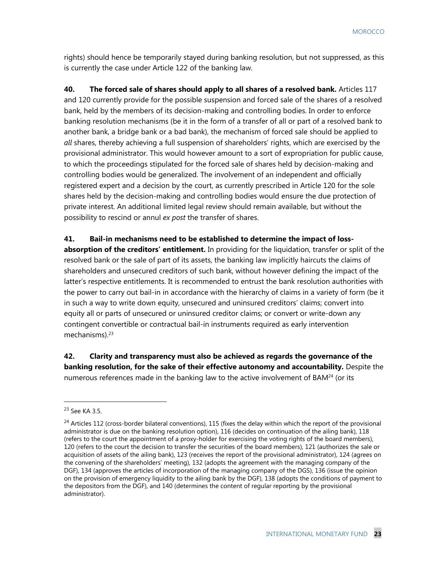rights) should hence be temporarily stayed during banking resolution, but not suppressed, as this is currently the case under Article 122 of the banking law.

**40. The forced sale of shares should apply to all shares of a resolved bank.** Articles 117 and 120 currently provide for the possible suspension and forced sale of the shares of a resolved bank, held by the members of its decision-making and controlling bodies. In order to enforce banking resolution mechanisms (be it in the form of a transfer of all or part of a resolved bank to another bank, a bridge bank or a bad bank), the mechanism of forced sale should be applied to *all* shares, thereby achieving a full suspension of shareholders' rights, which are exercised by the provisional administrator. This would however amount to a sort of expropriation for public cause, to which the proceedings stipulated for the forced sale of shares held by decision-making and controlling bodies would be generalized. The involvement of an independent and officially registered expert and a decision by the court, as currently prescribed in Article 120 for the sole shares held by the decision-making and controlling bodies would ensure the due protection of private interest. An additional limited legal review should remain available, but without the possibility to rescind or annul *ex post* the transfer of shares.

#### **41. Bail-in mechanisms need to be established to determine the impact of loss-**

**absorption of the creditors' entitlement.** In providing for the liquidation, transfer or split of the resolved bank or the sale of part of its assets, the banking law implicitly haircuts the claims of shareholders and unsecured creditors of such bank, without however defining the impact of the latter's respective entitlements. It is recommended to entrust the bank resolution authorities with the power to carry out bail-in in accordance with the hierarchy of claims in a variety of form (be it in such a way to write down equity, unsecured and uninsured creditors' claims; convert into equity all or parts of unsecured or uninsured creditor claims; or convert or write-down any contingent convertible or contractual bail-in instruments required as early intervention mechanisms $).<sup>23</sup>$ 

**42. Clarity and transparency must also be achieved as regards the governance of the banking resolution, for the sake of their effective autonomy and accountability.** Despite the numerous references made in the banking law to the active involvement of BAM $^{24}$  (or its

 $\overline{a}$ 

<sup>23</sup> See KA 3.5.

 $24$  Articles 112 (cross-border bilateral conventions), 115 (fixes the delay within which the report of the provisional administrator is due on the banking resolution option), 116 (decides on continuation of the ailing bank), 118 (refers to the court the appointment of a proxy-holder for exercising the voting rights of the board members), 120 (refers to the court the decision to transfer the securities of the board members), 121 (authorizes the sale or acquisition of assets of the ailing bank), 123 (receives the report of the provisional administrator), 124 (agrees on the convening of the shareholders' meeting), 132 (adopts the agreement with the managing company of the DGF), 134 (approves the articles of incorporation of the managing company of the DGS), 136 (issue the opinion on the provision of emergency liquidity to the ailing bank by the DGF), 138 (adopts the conditions of payment to the depositors from the DGF), and 140 (determines the content of regular reporting by the provisional administrator).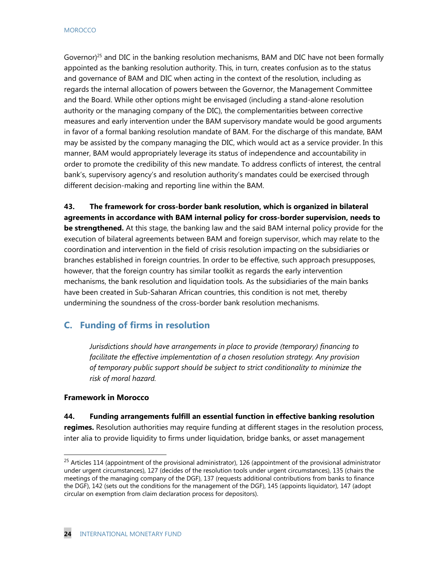Governor)<sup>25</sup> and DIC in the banking resolution mechanisms, BAM and DIC have not been formally appointed as the banking resolution authority. This, in turn, creates confusion as to the status and governance of BAM and DIC when acting in the context of the resolution, including as regards the internal allocation of powers between the Governor, the Management Committee and the Board. While other options might be envisaged (including a stand-alone resolution authority or the managing company of the DIC), the complementarities between corrective measures and early intervention under the BAM supervisory mandate would be good arguments in favor of a formal banking resolution mandate of BAM. For the discharge of this mandate, BAM may be assisted by the company managing the DIC, which would act as a service provider. In this manner, BAM would appropriately leverage its status of independence and accountability in order to promote the credibility of this new mandate. To address conflicts of interest, the central bank's, supervisory agency's and resolution authority's mandates could be exercised through different decision-making and reporting line within the BAM.

**43. The framework for cross-border bank resolution, which is organized in bilateral agreements in accordance with BAM internal policy for cross-border supervision, needs to be strengthened.** At this stage, the banking law and the said BAM internal policy provide for the execution of bilateral agreements between BAM and foreign supervisor, which may relate to the coordination and intervention in the field of crisis resolution impacting on the subsidiaries or branches established in foreign countries. In order to be effective, such approach presupposes, however, that the foreign country has similar toolkit as regards the early intervention mechanisms, the bank resolution and liquidation tools. As the subsidiaries of the main banks have been created in Sub-Saharan African countries, this condition is not met, thereby undermining the soundness of the cross-border bank resolution mechanisms.

# **C. Funding of firms in resolution**

*Jurisdictions should have arrangements in place to provide (temporary) financing to facilitate the effective implementation of a chosen resolution strategy. Any provision of temporary public support should be subject to strict conditionality to minimize the risk of moral hazard.* 

#### **Framework in Morocco**

 $\overline{a}$ 

#### **44. Funding arrangements fulfill an essential function in effective banking resolution**

**regimes.** Resolution authorities may require funding at different stages in the resolution process, inter alia to provide liquidity to firms under liquidation, bridge banks, or asset management

 $^{25}$  Articles 114 (appointment of the provisional administrator), 126 (appointment of the provisional administrator under urgent circumstances), 127 (decides of the resolution tools under urgent circumstances), 135 (chairs the meetings of the managing company of the DGF), 137 (requests additional contributions from banks to finance the DGF), 142 (sets out the conditions for the management of the DGF), 145 (appoints liquidator), 147 (adopt circular on exemption from claim declaration process for depositors).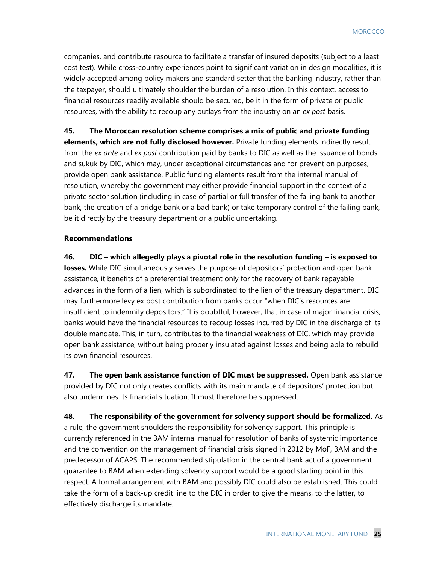companies, and contribute resource to facilitate a transfer of insured deposits (subject to a least cost test). While cross-country experiences point to significant variation in design modalities, it is widely accepted among policy makers and standard setter that the banking industry, rather than the taxpayer, should ultimately shoulder the burden of a resolution. In this context, access to financial resources readily available should be secured, be it in the form of private or public resources, with the ability to recoup any outlays from the industry on an *ex post* basis.

**45. The Moroccan resolution scheme comprises a mix of public and private funding elements, which are not fully disclosed however.** Private funding elements indirectly result from the *ex ante* and *ex post* contribution paid by banks to DIC as well as the issuance of bonds and sukuk by DIC, which may, under exceptional circumstances and for prevention purposes, provide open bank assistance. Public funding elements result from the internal manual of resolution, whereby the government may either provide financial support in the context of a private sector solution (including in case of partial or full transfer of the failing bank to another bank, the creation of a bridge bank or a bad bank) or take temporary control of the failing bank, be it directly by the treasury department or a public undertaking.

#### **Recommendations**

**46. DIC – which allegedly plays a pivotal role in the resolution funding – is exposed to losses.** While DIC simultaneously serves the purpose of depositors' protection and open bank assistance, it benefits of a preferential treatment only for the recovery of bank repayable advances in the form of a lien, which is subordinated to the lien of the treasury department. DIC may furthermore levy ex post contribution from banks occur "when DIC's resources are insufficient to indemnify depositors." It is doubtful, however, that in case of major financial crisis, banks would have the financial resources to recoup losses incurred by DIC in the discharge of its double mandate. This, in turn, contributes to the financial weakness of DIC, which may provide open bank assistance, without being properly insulated against losses and being able to rebuild its own financial resources.

**47. The open bank assistance function of DIC must be suppressed.** Open bank assistance provided by DIC not only creates conflicts with its main mandate of depositors' protection but also undermines its financial situation. It must therefore be suppressed.

**48. The responsibility of the government for solvency support should be formalized.** As a rule, the government shoulders the responsibility for solvency support. This principle is currently referenced in the BAM internal manual for resolution of banks of systemic importance and the convention on the management of financial crisis signed in 2012 by MoF, BAM and the predecessor of ACAPS. The recommended stipulation in the central bank act of a government guarantee to BAM when extending solvency support would be a good starting point in this respect. A formal arrangement with BAM and possibly DIC could also be established. This could take the form of a back-up credit line to the DIC in order to give the means, to the latter, to effectively discharge its mandate.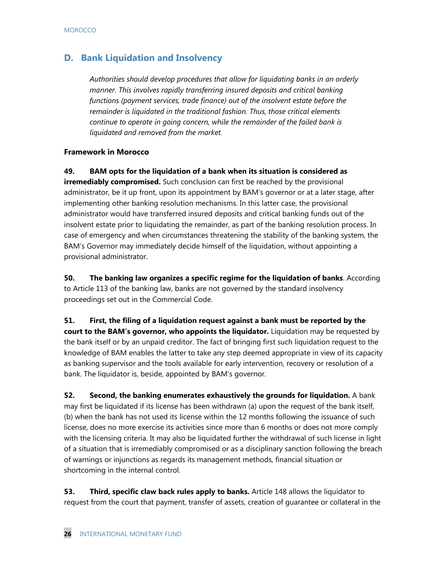# **D. Bank Liquidation and Insolvency**

*Authorities should develop procedures that allow for liquidating banks in an orderly manner. This involves rapidly transferring insured deposits and critical banking functions (payment services, trade finance) out of the insolvent estate before the remainder is liquidated in the traditional fashion. Thus, those critical elements continue to operate in going concern, while the remainder of the failed bank is liquidated and removed from the market.* 

#### **Framework in Morocco**

**49. BAM opts for the liquidation of a bank when its situation is considered as** 

**irremediably compromised.** Such conclusion can first be reached by the provisional administrator, be it up front, upon its appointment by BAM's governor or at a later stage, after implementing other banking resolution mechanisms. In this latter case, the provisional administrator would have transferred insured deposits and critical banking funds out of the insolvent estate prior to liquidating the remainder, as part of the banking resolution process. In case of emergency and when circumstances threatening the stability of the banking system, the BAM's Governor may immediately decide himself of the liquidation, without appointing a provisional administrator.

**50. The banking law organizes a specific regime for the liquidation of banks**. According to Article 113 of the banking law, banks are not governed by the standard insolvency proceedings set out in the Commercial Code.

**51. First, the filing of a liquidation request against a bank must be reported by the court to the BAM's governor, who appoints the liquidator.** Liquidation may be requested by the bank itself or by an unpaid creditor. The fact of bringing first such liquidation request to the knowledge of BAM enables the latter to take any step deemed appropriate in view of its capacity as banking supervisor and the tools available for early intervention, recovery or resolution of a bank. The liquidator is, beside, appointed by BAM's governor.

**52. Second, the banking enumerates exhaustively the grounds for liquidation.** A bank may first be liquidated if its license has been withdrawn (a) upon the request of the bank itself, (b) when the bank has not used its license within the 12 months following the issuance of such license, does no more exercise its activities since more than 6 months or does not more comply with the licensing criteria. It may also be liquidated further the withdrawal of such license in light of a situation that is irremediably compromised or as a disciplinary sanction following the breach of warnings or injunctions as regards its management methods, financial situation or shortcoming in the internal control.

**53. Third, specific claw back rules apply to banks.** Article 148 allows the liquidator to request from the court that payment, transfer of assets, creation of guarantee or collateral in the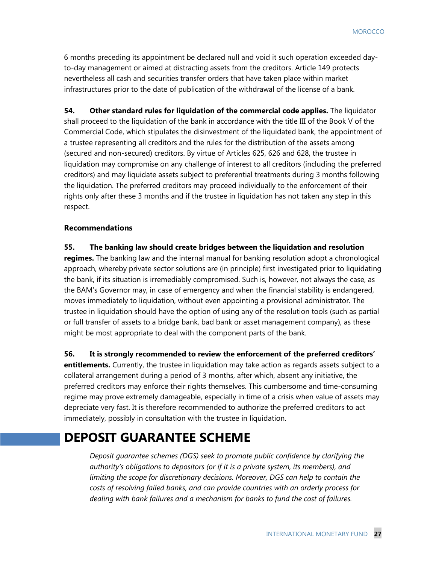6 months preceding its appointment be declared null and void it such operation exceeded dayto-day management or aimed at distracting assets from the creditors. Article 149 protects nevertheless all cash and securities transfer orders that have taken place within market infrastructures prior to the date of publication of the withdrawal of the license of a bank.

**54. Other standard rules for liquidation of the commercial code applies.** The liquidator shall proceed to the liquidation of the bank in accordance with the title III of the Book V of the Commercial Code, which stipulates the disinvestment of the liquidated bank, the appointment of a trustee representing all creditors and the rules for the distribution of the assets among (secured and non-secured) creditors. By virtue of Articles 625, 626 and 628, the trustee in liquidation may compromise on any challenge of interest to all creditors (including the preferred creditors) and may liquidate assets subject to preferential treatments during 3 months following the liquidation. The preferred creditors may proceed individually to the enforcement of their rights only after these 3 months and if the trustee in liquidation has not taken any step in this respect.

#### **Recommendations**

**55. The banking law should create bridges between the liquidation and resolution regimes.** The banking law and the internal manual for banking resolution adopt a chronological approach, whereby private sector solutions are (in principle) first investigated prior to liquidating the bank, if its situation is irremediably compromised. Such is, however, not always the case, as the BAM's Governor may, in case of emergency and when the financial stability is endangered, moves immediately to liquidation, without even appointing a provisional administrator. The trustee in liquidation should have the option of using any of the resolution tools (such as partial or full transfer of assets to a bridge bank, bad bank or asset management company), as these might be most appropriate to deal with the component parts of the bank.

**56. It is strongly recommended to review the enforcement of the preferred creditors' entitlements.** Currently, the trustee in liquidation may take action as regards assets subject to a collateral arrangement during a period of 3 months, after which, absent any initiative, the preferred creditors may enforce their rights themselves. This cumbersome and time-consuming regime may prove extremely damageable, especially in time of a crisis when value of assets may depreciate very fast. It is therefore recommended to authorize the preferred creditors to act immediately, possibly in consultation with the trustee in liquidation.

# **DEPOSIT GUARANTEE SCHEME**

*Deposit guarantee schemes (DGS) seek to promote public confidence by clarifying the authority's obligations to depositors (or if it is a private system, its members), and limiting the scope for discretionary decisions. Moreover, DGS can help to contain the costs of resolving failed banks, and can provide countries with an orderly process for dealing with bank failures and a mechanism for banks to fund the cost of failures.*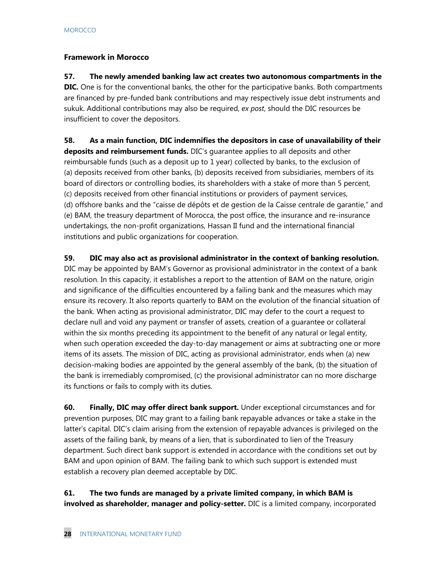## **Framework in Morocco**

# **57. The newly amended banking law act creates two autonomous compartments in the DIC.** One is for the conventional banks, the other for the participative banks. Both compartments are financed by pre-funded bank contributions and may respectively issue debt instruments and sukuk. Additional contributions may also be required, *ex post*, should the DIC resources be insufficient to cover the depositors.

**58. As a main function, DIC indemnifies the depositors in case of unavailability of their deposits and reimbursement funds.** DIC's guarantee applies to all deposits and other reimbursable funds (such as a deposit up to 1 year) collected by banks, to the exclusion of (a) deposits received from other banks, (b) deposits received from subsidiaries, members of its board of directors or controlling bodies, its shareholders with a stake of more than 5 percent, (c) deposits received from other financial institutions or providers of payment services, (d) offshore banks and the "caisse de dépôts et de gestion de la Caisse centrale de garantie," and (e) BAM, the treasury department of Morocca, the post office, the insurance and re-insurance undertakings, the non-profit organizations, Hassan II fund and the international financial institutions and public organizations for cooperation.

**59. DIC may also act as provisional administrator in the context of banking resolution.**  DIC may be appointed by BAM's Governor as provisional administrator in the context of a bank resolution. In this capacity, it establishes a report to the attention of BAM on the nature, origin and significance of the difficulties encountered by a failing bank and the measures which may ensure its recovery. It also reports quarterly to BAM on the evolution of the financial situation of the bank. When acting as provisional administrator, DIC may defer to the court a request to declare null and void any payment or transfer of assets, creation of a guarantee or collateral within the six months preceding its appointment to the benefit of any natural or legal entity, when such operation exceeded the day-to-day management or aims at subtracting one or more items of its assets. The mission of DIC, acting as provisional administrator, ends when (a) new decision-making bodies are appointed by the general assembly of the bank, (b) the situation of the bank is irremediably compromised, (c) the provisional administrator can no more discharge its functions or fails to comply with its duties.

**60. Finally, DIC may offer direct bank support.** Under exceptional circumstances and for prevention purposes, DIC may grant to a failing bank repayable advances or take a stake in the latter's capital. DIC's claim arising from the extension of repayable advances is privileged on the assets of the failing bank, by means of a lien, that is subordinated to lien of the Treasury department. Such direct bank support is extended in accordance with the conditions set out by BAM and upon opinion of BAM. The failing bank to which such support is extended must establish a recovery plan deemed acceptable by DIC.

**61. The two funds are managed by a private limited company, in which BAM is involved as shareholder, manager and policy-setter.** DIC is a limited company, incorporated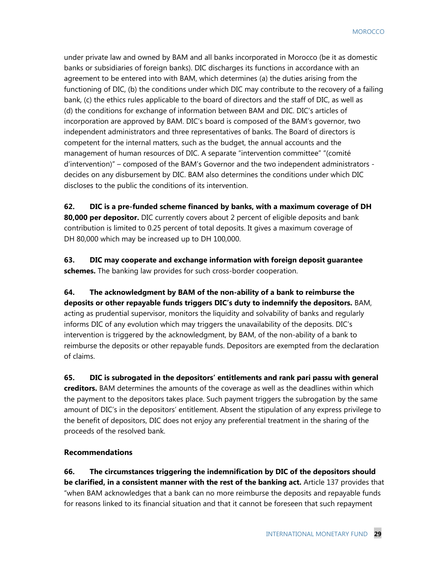under private law and owned by BAM and all banks incorporated in Morocco (be it as domestic banks or subsidiaries of foreign banks). DIC discharges its functions in accordance with an agreement to be entered into with BAM, which determines (a) the duties arising from the functioning of DIC, (b) the conditions under which DIC may contribute to the recovery of a failing bank, (c) the ethics rules applicable to the board of directors and the staff of DIC, as well as (d) the conditions for exchange of information between BAM and DIC. DIC's articles of incorporation are approved by BAM. DIC's board is composed of the BAM's governor, two independent administrators and three representatives of banks. The Board of directors is competent for the internal matters, such as the budget, the annual accounts and the management of human resources of DIC. A separate "intervention committee" "(comité d'intervention)" – composed of the BAM's Governor and the two independent administrators decides on any disbursement by DIC. BAM also determines the conditions under which DIC discloses to the public the conditions of its intervention.

**62. DIC is a pre-funded scheme financed by banks, with a maximum coverage of DH 80,000 per depositor.** DIC currently covers about 2 percent of eligible deposits and bank contribution is limited to 0.25 percent of total deposits. It gives a maximum coverage of DH 80,000 which may be increased up to DH 100,000.

**63. DIC may cooperate and exchange information with foreign deposit guarantee schemes.** The banking law provides for such cross-border cooperation.

## **64. The acknowledgment by BAM of the non-ability of a bank to reimburse the deposits or other repayable funds triggers DIC's duty to indemnify the depositors.** BAM, acting as prudential supervisor, monitors the liquidity and solvability of banks and regularly informs DIC of any evolution which may triggers the unavailability of the deposits. DIC's intervention is triggered by the acknowledgment, by BAM, of the non-ability of a bank to reimburse the deposits or other repayable funds. Depositors are exempted from the declaration of claims.

**65. DIC is subrogated in the depositors' entitlements and rank pari passu with general creditors.** BAM determines the amounts of the coverage as well as the deadlines within which the payment to the depositors takes place. Such payment triggers the subrogation by the same amount of DIC's in the depositors' entitlement. Absent the stipulation of any express privilege to the benefit of depositors, DIC does not enjoy any preferential treatment in the sharing of the proceeds of the resolved bank.

#### **Recommendations**

**66. The circumstances triggering the indemnification by DIC of the depositors should be clarified, in a consistent manner with the rest of the banking act.** Article 137 provides that "when BAM acknowledges that a bank can no more reimburse the deposits and repayable funds for reasons linked to its financial situation and that it cannot be foreseen that such repayment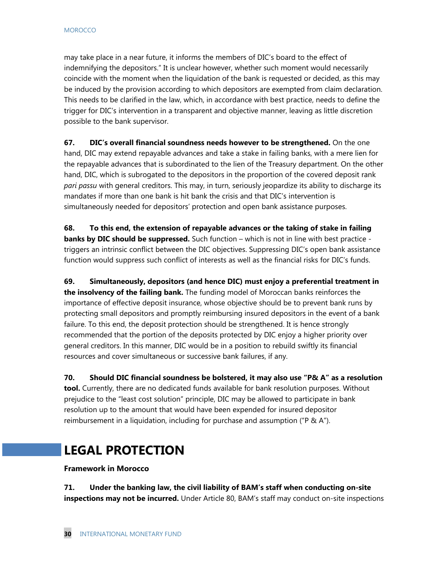may take place in a near future, it informs the members of DIC's board to the effect of indemnifying the depositors." It is unclear however, whether such moment would necessarily coincide with the moment when the liquidation of the bank is requested or decided, as this may be induced by the provision according to which depositors are exempted from claim declaration. This needs to be clarified in the law, which, in accordance with best practice, needs to define the trigger for DIC's intervention in a transparent and objective manner, leaving as little discretion possible to the bank supervisor.

**67. DIC's overall financial soundness needs however to be strengthened.** On the one hand, DIC may extend repayable advances and take a stake in failing banks, with a mere lien for the repayable advances that is subordinated to the lien of the Treasury department. On the other hand, DIC, which is subrogated to the depositors in the proportion of the covered deposit rank *pari passu* with general creditors. This may, in turn, seriously jeopardize its ability to discharge its mandates if more than one bank is hit bank the crisis and that DIC's intervention is simultaneously needed for depositors' protection and open bank assistance purposes.

**68. To this end, the extension of repayable advances or the taking of stake in failing banks by DIC should be suppressed.** Such function – which is not in line with best practice triggers an intrinsic conflict between the DIC objectives. Suppressing DIC's open bank assistance function would suppress such conflict of interests as well as the financial risks for DIC's funds.

**69. Simultaneously, depositors (and hence DIC) must enjoy a preferential treatment in the insolvency of the failing bank.** The funding model of Moroccan banks reinforces the importance of effective deposit insurance, whose objective should be to prevent bank runs by protecting small depositors and promptly reimbursing insured depositors in the event of a bank failure. To this end, the deposit protection should be strengthened. It is hence strongly recommended that the portion of the deposits protected by DIC enjoy a higher priority over general creditors. In this manner, DIC would be in a position to rebuild swiftly its financial resources and cover simultaneous or successive bank failures, if any.

**70. Should DIC financial soundness be bolstered, it may also use "P& A" as a resolution tool.** Currently, there are no dedicated funds available for bank resolution purposes. Without prejudice to the "least cost solution" principle, DIC may be allowed to participate in bank resolution up to the amount that would have been expended for insured depositor reimbursement in a liquidation, including for purchase and assumption ("P & A").

# **LEGAL PROTECTION**

#### **Framework in Morocco**

**71. Under the banking law, the civil liability of BAM's staff when conducting on-site inspections may not be incurred.** Under Article 80, BAM's staff may conduct on-site inspections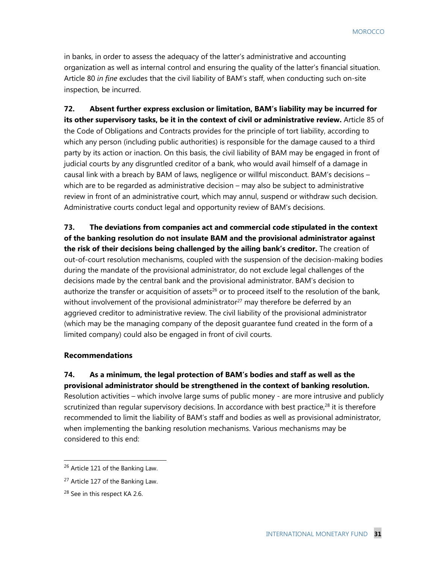in banks, in order to assess the adequacy of the latter's administrative and accounting organization as well as internal control and ensuring the quality of the latter's financial situation. Article 80 *in fine* excludes that the civil liability of BAM's staff, when conducting such on-site inspection, be incurred.

**72. Absent further express exclusion or limitation, BAM's liability may be incurred for its other supervisory tasks, be it in the context of civil or administrative review.** Article 85 of the Code of Obligations and Contracts provides for the principle of tort liability, according to which any person (including public authorities) is responsible for the damage caused to a third party by its action or inaction. On this basis, the civil liability of BAM may be engaged in front of judicial courts by any disgruntled creditor of a bank, who would avail himself of a damage in causal link with a breach by BAM of laws, negligence or willful misconduct. BAM's decisions – which are to be regarded as administrative decision – may also be subject to administrative review in front of an administrative court, which may annul, suspend or withdraw such decision. Administrative courts conduct legal and opportunity review of BAM's decisions.

**73. The deviations from companies act and commercial code stipulated in the context of the banking resolution do not insulate BAM and the provisional administrator against the risk of their decisions being challenged by the ailing bank's creditor.** The creation of out-of-court resolution mechanisms, coupled with the suspension of the decision-making bodies during the mandate of the provisional administrator, do not exclude legal challenges of the decisions made by the central bank and the provisional administrator. BAM's decision to authorize the transfer or acquisition of assets<sup>26</sup> or to proceed itself to the resolution of the bank, without involvement of the provisional administrator<sup>27</sup> may therefore be deferred by an aggrieved creditor to administrative review. The civil liability of the provisional administrator (which may be the managing company of the deposit guarantee fund created in the form of a limited company) could also be engaged in front of civil courts.

#### **Recommendations**

**74. As a minimum, the legal protection of BAM's bodies and staff as well as the provisional administrator should be strengthened in the context of banking resolution.**  Resolution activities – which involve large sums of public money - are more intrusive and publicly scrutinized than regular supervisory decisions. In accordance with best practice, $28$  it is therefore recommended to limit the liability of BAM's staff and bodies as well as provisional administrator, when implementing the banking resolution mechanisms. Various mechanisms may be considered to this end:

1

<sup>&</sup>lt;sup>26</sup> Article 121 of the Banking Law.

<sup>&</sup>lt;sup>27</sup> Article 127 of the Banking Law.

<sup>&</sup>lt;sup>28</sup> See in this respect KA 2.6.